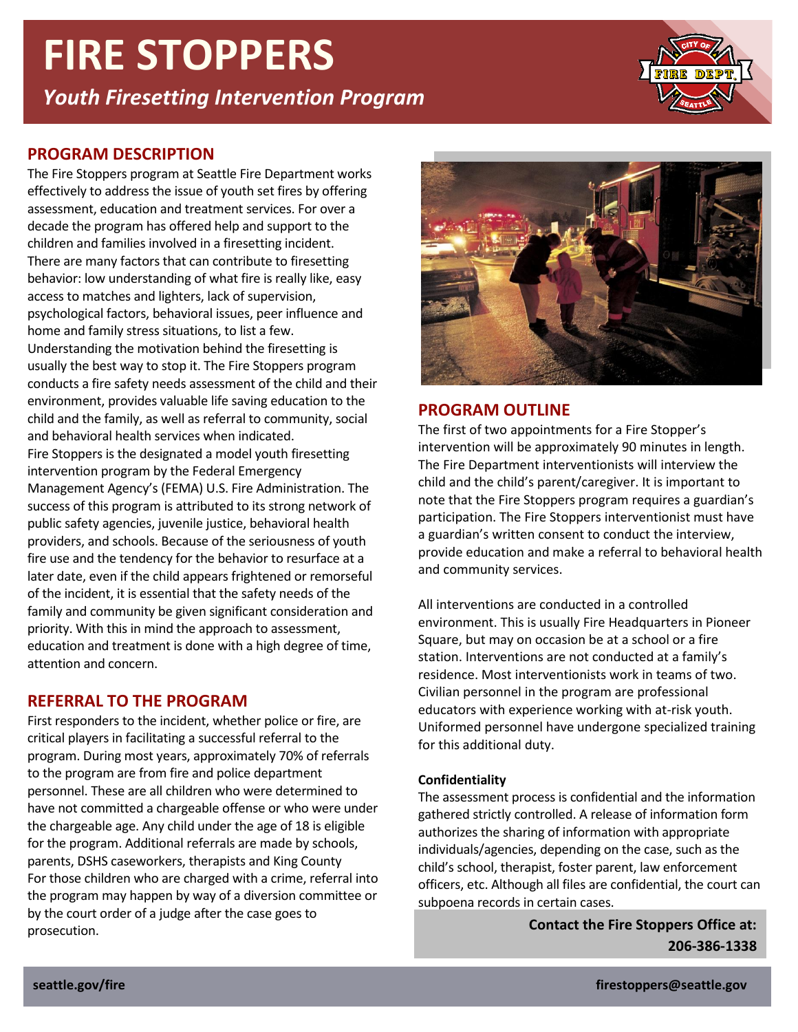# **FIRE STOPPERS**

*Youth Firesetting Intervention Program*



## **PROGRAM DESCRIPTION**

The Fire Stoppers program at Seattle Fire Department works effectively to address the issue of youth set fires by offering assessment, education and treatment services. For over a decade the program has offered help and support to the children and families involved in a firesetting incident. There are many factors that can contribute to firesetting behavior: low understanding of what fire is really like, easy access to matches and lighters, lack of supervision, psychological factors, behavioral issues, peer influence and home and family stress situations, to list a few. Understanding the motivation behind the firesetting is usually the best way to stop it. The Fire Stoppers program conducts a fire safety needs assessment of the child and their environment, provides valuable life saving education to the child and the family, as well as referral to community, social and behavioral health services when indicated. Fire Stoppers is the designated a model youth firesetting intervention program by the Federal Emergency Management Agency's (FEMA) U.S. Fire Administration. The success of this program is attributed to its strong network of public safety agencies, juvenile justice, behavioral health providers, and schools. Because of the seriousness of youth fire use and the tendency for the behavior to resurface at a later date, even if the child appears frightened or remorseful of the incident, it is essential that the safety needs of the family and community be given significant consideration and priority. With this in mind the approach to assessment, education and treatment is done with a high degree of time, attention and concern.

## **REFERRAL TO THE PROGRAM**

First responders to the incident, whether police or fire, are critical players in facilitating a successful referral to the program. During most years, approximately 70% of referrals to the program are from fire and police department personnel. These are all children who were determined to have not committed a chargeable offense or who were under the chargeable age. Any child under the age of 18 is eligible for the program. Additional referrals are made by schools, parents, DSHS caseworkers, therapists and King County For those children who are charged with a crime, referral into the program may happen by way of a diversion committee or by the court order of a judge after the case goes to prosecution. **Contact the Fire Stoppers Office at:**



## **PROGRAM OUTLINE**

The first of two appointments for a Fire Stopper's intervention will be approximately 90 minutes in length. The Fire Department interventionists will interview the child and the child's parent/caregiver. It is important to note that the Fire Stoppers program requires a guardian's participation. The Fire Stoppers interventionist must have a guardian's written consent to conduct the interview, provide education and make a referral to behavioral health and community services.

All interventions are conducted in a controlled environment. This is usually Fire Headquarters in Pioneer Square, but may on occasion be at a school or a fire station. Interventions are not conducted at a family's residence. Most interventionists work in teams of two. Civilian personnel in the program are professional educators with experience working with at-risk youth. Uniformed personnel have undergone specialized training for this additional duty.

#### **Confidentiality**

The assessment process is confidential and the information gathered strictly controlled. A release of information form authorizes the sharing of information with appropriate individuals/agencies, depending on the case, such as the child's school, therapist, foster parent, law enforcement officers, etc. Although all files are confidential, the court can subpoena records in certain cases.

**206-386-1338**